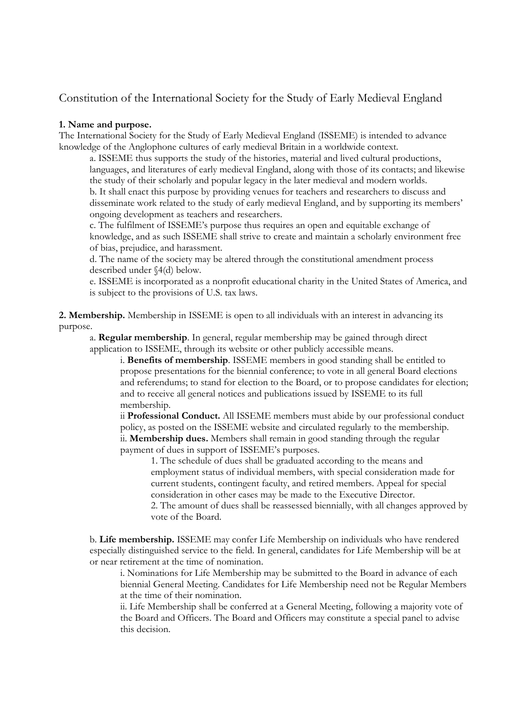# Constitution of the International Society for the Study of Early Medieval England

## **1. Name and purpose.**

The International Society for the Study of Early Medieval England (ISSEME) is intended to advance knowledge of the Anglophone cultures of early medieval Britain in a worldwide context.

a. ISSEME thus supports the study of the histories, material and lived cultural productions, languages, and literatures of early medieval England, along with those of its contacts; and likewise the study of their scholarly and popular legacy in the later medieval and modern worlds. b. It shall enact this purpose by providing venues for teachers and researchers to discuss and disseminate work related to the study of early medieval England, and by supporting its members' ongoing development as teachers and researchers.

c. The fulfilment of ISSEME's purpose thus requires an open and equitable exchange of knowledge, and as such ISSEME shall strive to create and maintain a scholarly environment free of bias, prejudice, and harassment.

d. The name of the society may be altered through the constitutional amendment process described under §4(d) below.

e. ISSEME is incorporated as a nonprofit educational charity in the United States of America, and is subject to the provisions of U.S. tax laws.

**2. Membership.** Membership in ISSEME is open to all individuals with an interest in advancing its purpose.

a. **Regular membership**. In general, regular membership may be gained through direct application to ISSEME, through its website or other publicly accessible means.

i. **Benefits of membership**. ISSEME members in good standing shall be entitled to propose presentations for the biennial conference; to vote in all general Board elections and referendums; to stand for election to the Board, or to propose candidates for election; and to receive all general notices and publications issued by ISSEME to its full membership.

ii **Professional Conduct.** All ISSEME members must abide by our professional conduct policy, as posted on the ISSEME website and circulated regularly to the membership. ii. **Membership dues.** Members shall remain in good standing through the regular payment of dues in support of ISSEME's purposes.

1. The schedule of dues shall be graduated according to the means and employment status of individual members, with special consideration made for current students, contingent faculty, and retired members. Appeal for special consideration in other cases may be made to the Executive Director. 2. The amount of dues shall be reassessed biennially, with all changes approved by vote of the Board.

b. **Life membership.** ISSEME may confer Life Membership on individuals who have rendered especially distinguished service to the field. In general, candidates for Life Membership will be at or near retirement at the time of nomination.

i. Nominations for Life Membership may be submitted to the Board in advance of each biennial General Meeting. Candidates for Life Membership need not be Regular Members at the time of their nomination.

ii. Life Membership shall be conferred at a General Meeting, following a majority vote of the Board and Officers. The Board and Officers may constitute a special panel to advise this decision.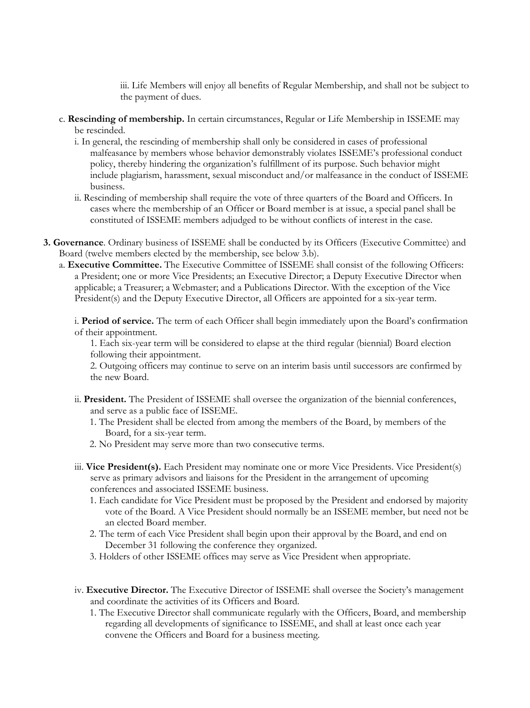iii. Life Members will enjoy all benefits of Regular Membership, and shall not be subject to the payment of dues.

- c. **Rescinding of membership.** In certain circumstances, Regular or Life Membership in ISSEME may be rescinded.
	- i. In general, the rescinding of membership shall only be considered in cases of professional malfeasance by members whose behavior demonstrably violates ISSEME's professional conduct policy, thereby hindering the organization's fulfillment of its purpose. Such behavior might include plagiarism, harassment, sexual misconduct and/or malfeasance in the conduct of ISSEME business.
	- ii. Rescinding of membership shall require the vote of three quarters of the Board and Officers. In cases where the membership of an Officer or Board member is at issue, a special panel shall be constituted of ISSEME members adjudged to be without conflicts of interest in the case.
- **3. Governance**. Ordinary business of ISSEME shall be conducted by its Officers (Executive Committee) and Board (twelve members elected by the membership, see below 3.b).
	- a. **Executive Committee.** The Executive Committee of ISSEME shall consist of the following Officers: a President; one or more Vice Presidents; an Executive Director; a Deputy Executive Director when applicable; a Treasurer; a Webmaster; and a Publications Director. With the exception of the Vice President(s) and the Deputy Executive Director, all Officers are appointed for a six-year term.

i. **Period of service.** The term of each Officer shall begin immediately upon the Board's confirmation of their appointment.

1. Each six-year term will be considered to elapse at the third regular (biennial) Board election following their appointment.

2. Outgoing officers may continue to serve on an interim basis until successors are confirmed by the new Board.

- ii. **President.** The President of ISSEME shall oversee the organization of the biennial conferences, and serve as a public face of ISSEME.
	- 1. The President shall be elected from among the members of the Board, by members of the Board, for a six-year term.
	- 2. No President may serve more than two consecutive terms.
- iii. **Vice President(s).** Each President may nominate one or more Vice Presidents. Vice President(s) serve as primary advisors and liaisons for the President in the arrangement of upcoming conferences and associated ISSEME business.
	- 1. Each candidate for Vice President must be proposed by the President and endorsed by majority vote of the Board. A Vice President should normally be an ISSEME member, but need not be an elected Board member.
	- 2. The term of each Vice President shall begin upon their approval by the Board, and end on December 31 following the conference they organized.
	- 3. Holders of other ISSEME offices may serve as Vice President when appropriate.
- iv. **Executive Director.** The Executive Director of ISSEME shall oversee the Society's management and coordinate the activities of its Officers and Board.
	- 1. The Executive Director shall communicate regularly with the Officers, Board, and membership regarding all developments of significance to ISSEME, and shall at least once each year convene the Officers and Board for a business meeting.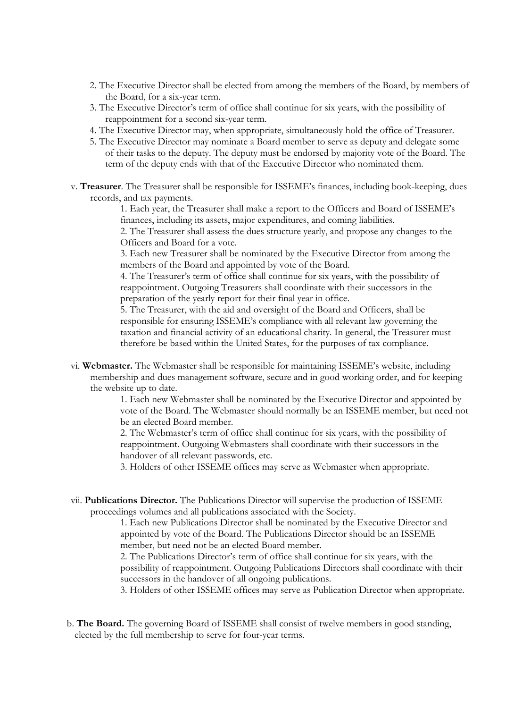- 2. The Executive Director shall be elected from among the members of the Board, by members of the Board, for a six-year term.
- 3. The Executive Director's term of office shall continue for six years, with the possibility of reappointment for a second six-year term.
- 4. The Executive Director may, when appropriate, simultaneously hold the office of Treasurer.
- 5. The Executive Director may nominate a Board member to serve as deputy and delegate some of their tasks to the deputy. The deputy must be endorsed by majority vote of the Board. The term of the deputy ends with that of the Executive Director who nominated them.
- v. **Treasurer**. The Treasurer shall be responsible for ISSEME's finances, including book-keeping, dues records, and tax payments.

1. Each year, the Treasurer shall make a report to the Officers and Board of ISSEME's finances, including its assets, major expenditures, and coming liabilities.

2. The Treasurer shall assess the dues structure yearly, and propose any changes to the Officers and Board for a vote.

3. Each new Treasurer shall be nominated by the Executive Director from among the members of the Board and appointed by vote of the Board.

4. The Treasurer's term of office shall continue for six years, with the possibility of reappointment. Outgoing Treasurers shall coordinate with their successors in the preparation of the yearly report for their final year in office.

5. The Treasurer, with the aid and oversight of the Board and Officers, shall be responsible for ensuring ISSEME's compliance with all relevant law governing the taxation and financial activity of an educational charity. In general, the Treasurer must therefore be based within the United States, for the purposes of tax compliance.

vi. **Webmaster.** The Webmaster shall be responsible for maintaining ISSEME's website, including membership and dues management software, secure and in good working order, and for keeping the website up to date.

> 1. Each new Webmaster shall be nominated by the Executive Director and appointed by vote of the Board. The Webmaster should normally be an ISSEME member, but need not be an elected Board member.

2. The Webmaster's term of office shall continue for six years, with the possibility of reappointment. Outgoing Webmasters shall coordinate with their successors in the handover of all relevant passwords, etc.

3. Holders of other ISSEME offices may serve as Webmaster when appropriate.

vii. **Publications Director.** The Publications Director will supervise the production of ISSEME proceedings volumes and all publications associated with the Society.

> 1. Each new Publications Director shall be nominated by the Executive Director and appointed by vote of the Board. The Publications Director should be an ISSEME member, but need not be an elected Board member.

2. The Publications Director's term of office shall continue for six years, with the possibility of reappointment. Outgoing Publications Directors shall coordinate with their successors in the handover of all ongoing publications.

3. Holders of other ISSEME offices may serve as Publication Director when appropriate.

b. **The Board.** The governing Board of ISSEME shall consist of twelve members in good standing, elected by the full membership to serve for four-year terms.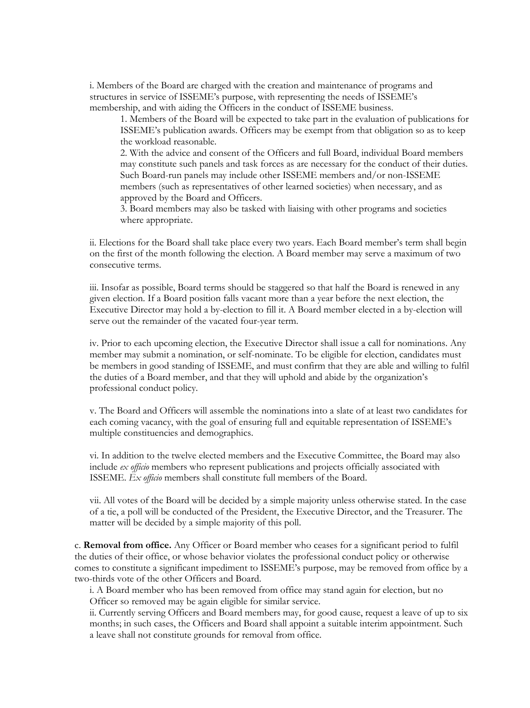i. Members of the Board are charged with the creation and maintenance of programs and structures in service of ISSEME's purpose, with representing the needs of ISSEME's membership, and with aiding the Officers in the conduct of ISSEME business.

1. Members of the Board will be expected to take part in the evaluation of publications for ISSEME's publication awards. Officers may be exempt from that obligation so as to keep the workload reasonable.

2. With the advice and consent of the Officers and full Board, individual Board members may constitute such panels and task forces as are necessary for the conduct of their duties. Such Board-run panels may include other ISSEME members and/or non-ISSEME members (such as representatives of other learned societies) when necessary, and as approved by the Board and Officers.

3. Board members may also be tasked with liaising with other programs and societies where appropriate.

ii. Elections for the Board shall take place every two years. Each Board member's term shall begin on the first of the month following the election. A Board member may serve a maximum of two consecutive terms.

iii. Insofar as possible, Board terms should be staggered so that half the Board is renewed in any given election. If a Board position falls vacant more than a year before the next election, the Executive Director may hold a by-election to fill it. A Board member elected in a by-election will serve out the remainder of the vacated four-year term.

iv. Prior to each upcoming election, the Executive Director shall issue a call for nominations. Any member may submit a nomination, or self-nominate. To be eligible for election, candidates must be members in good standing of ISSEME, and must confirm that they are able and willing to fulfil the duties of a Board member, and that they will uphold and abide by the organization's professional conduct policy.

v. The Board and Officers will assemble the nominations into a slate of at least two candidates for each coming vacancy, with the goal of ensuring full and equitable representation of ISSEME's multiple constituencies and demographics.

vi. In addition to the twelve elected members and the Executive Committee, the Board may also include *ex officio* members who represent publications and projects officially associated with ISSEME. *Ex officio* members shall constitute full members of the Board.

vii. All votes of the Board will be decided by a simple majority unless otherwise stated. In the case of a tie, a poll will be conducted of the President, the Executive Director, and the Treasurer. The matter will be decided by a simple majority of this poll.

c. **Removal from office.** Any Officer or Board member who ceases for a significant period to fulfil the duties of their office, or whose behavior violates the professional conduct policy or otherwise comes to constitute a significant impediment to ISSEME's purpose, may be removed from office by a two-thirds vote of the other Officers and Board.

i. A Board member who has been removed from office may stand again for election, but no Officer so removed may be again eligible for similar service.

ii. Currently serving Officers and Board members may, for good cause, request a leave of up to six months; in such cases, the Officers and Board shall appoint a suitable interim appointment. Such a leave shall not constitute grounds for removal from office.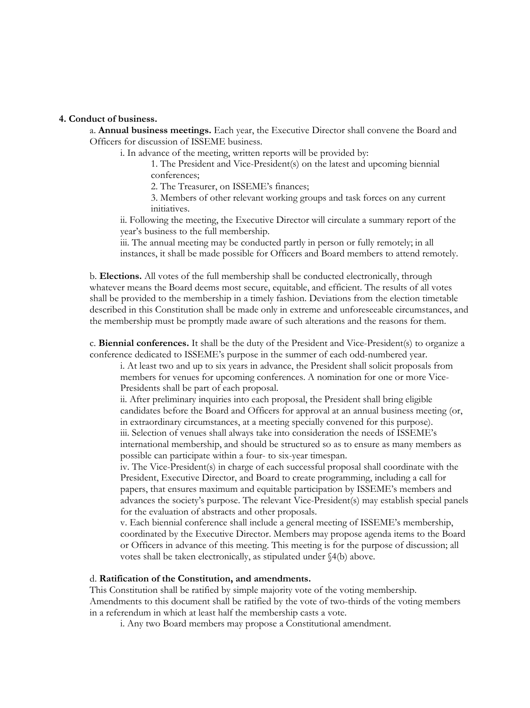#### **4. Conduct of business.**

a. **Annual business meetings.** Each year, the Executive Director shall convene the Board and Officers for discussion of ISSEME business.

i. In advance of the meeting, written reports will be provided by:

1. The President and Vice-President(s) on the latest and upcoming biennial conferences;

2. The Treasurer, on ISSEME's finances;

3. Members of other relevant working groups and task forces on any current initiatives.

ii. Following the meeting, the Executive Director will circulate a summary report of the year's business to the full membership.

iii. The annual meeting may be conducted partly in person or fully remotely; in all instances, it shall be made possible for Officers and Board members to attend remotely.

b. **Elections.** All votes of the full membership shall be conducted electronically, through whatever means the Board deems most secure, equitable, and efficient. The results of all votes shall be provided to the membership in a timely fashion. Deviations from the election timetable described in this Constitution shall be made only in extreme and unforeseeable circumstances, and the membership must be promptly made aware of such alterations and the reasons for them.

c. **Biennial conferences.** It shall be the duty of the President and Vice-President(s) to organize a conference dedicated to ISSEME's purpose in the summer of each odd-numbered year.

i. At least two and up to six years in advance, the President shall solicit proposals from members for venues for upcoming conferences. A nomination for one or more Vice-Presidents shall be part of each proposal.

ii. After preliminary inquiries into each proposal, the President shall bring eligible candidates before the Board and Officers for approval at an annual business meeting (or, in extraordinary circumstances, at a meeting specially convened for this purpose). iii. Selection of venues shall always take into consideration the needs of ISSEME's international membership, and should be structured so as to ensure as many members as possible can participate within a four- to six-year timespan.

iv. The Vice-President(s) in charge of each successful proposal shall coordinate with the President, Executive Director, and Board to create programming, including a call for papers, that ensures maximum and equitable participation by ISSEME's members and advances the society's purpose. The relevant Vice-President(s) may establish special panels for the evaluation of abstracts and other proposals.

v. Each biennial conference shall include a general meeting of ISSEME's membership, coordinated by the Executive Director. Members may propose agenda items to the Board or Officers in advance of this meeting. This meeting is for the purpose of discussion; all votes shall be taken electronically, as stipulated under §4(b) above.

#### d. **Ratification of the Constitution, and amendments.**

This Constitution shall be ratified by simple majority vote of the voting membership. Amendments to this document shall be ratified by the vote of two-thirds of the voting members in a referendum in which at least half the membership casts a vote.

i. Any two Board members may propose a Constitutional amendment.